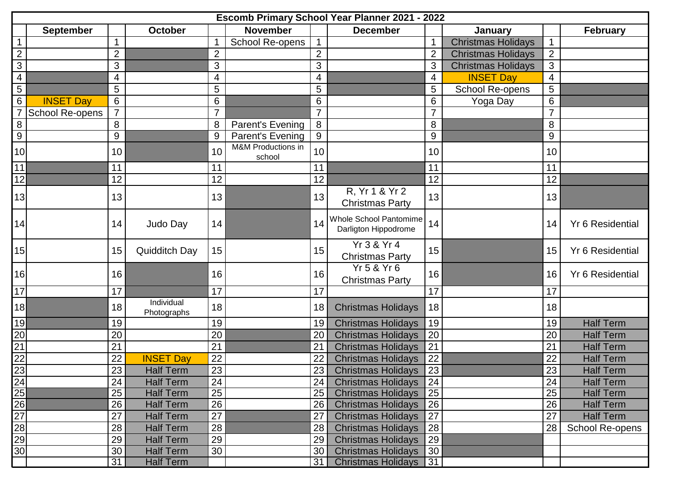| Escomb Primary School Year Planner 2021 - 2022 |                  |                 |                           |                 |                              |                 |                                                |                |                           |                |                         |
|------------------------------------------------|------------------|-----------------|---------------------------|-----------------|------------------------------|-----------------|------------------------------------------------|----------------|---------------------------|----------------|-------------------------|
|                                                | <b>September</b> |                 | <b>October</b>            |                 | <b>November</b>              |                 | <b>December</b>                                |                | January                   |                | <b>February</b>         |
| $\mathbf{1}$                                   |                  | 1               |                           |                 | <b>School Re-opens</b>       | $\mathbf 1$     |                                                | $\mathbf 1$    | <b>Christmas Holidays</b> |                |                         |
| $\mathbf{2}$                                   |                  | 2               |                           | $\overline{2}$  |                              | $\overline{2}$  |                                                | $\overline{2}$ | <b>Christmas Holidays</b> | $\overline{2}$ |                         |
| $\overline{3}$                                 |                  | 3               |                           | 3               |                              | 3               |                                                | 3              | <b>Christmas Holidays</b> | 3              |                         |
| $\overline{4}$                                 |                  | $\overline{4}$  |                           | 4               |                              | 4               |                                                | $\overline{4}$ | <b>INSET Day</b>          | 4              |                         |
| $\overline{5}$                                 |                  | 5               |                           | 5               |                              | 5               |                                                | 5              | School Re-opens           | 5              |                         |
| $\,6\,$                                        | <b>INSET Day</b> | $6\phantom{1}6$ |                           | 6               |                              | 6               |                                                | 6              | Yoga Day                  | 6              |                         |
|                                                | School Re-opens  | $\overline{7}$  |                           | $\overline{7}$  |                              | $\overline{7}$  |                                                |                |                           |                |                         |
| 8                                              |                  | 8               |                           | 8               | Parent's Evening             | 8               |                                                | 8              |                           | 8              |                         |
| $\boldsymbol{9}$                               |                  | 9               |                           | 9               | Parent's Evening             | 9               |                                                | 9              |                           | 9              |                         |
| 10                                             |                  | 10              |                           | 10              | M&M Productions in<br>school | 10              |                                                | 10             |                           | 10             |                         |
| 11                                             |                  | 11              |                           | 11              |                              | 11              |                                                | 11             |                           | 11             |                         |
| 12                                             |                  | 12              |                           | 12              |                              | 12              |                                                | 12             |                           | 12             |                         |
| 13                                             |                  | 13              |                           | 13              |                              | 13              | R, Yr 1 & Yr 2<br><b>Christmas Party</b>       | 13             |                           | 13             |                         |
| 14                                             |                  | 14              | Judo Day                  | 14              |                              | 14              | Whole School Pantomime<br>Darligton Hippodrome | 14             |                           | 14             | Yr 6 Residential        |
| 15                                             |                  | 15              | <b>Quidditch Day</b>      | 15              |                              | 15 <sub>1</sub> | Yr 3 & Yr 4<br><b>Christmas Party</b>          | 15             |                           | 15             | <b>Yr 6 Residential</b> |
| 16                                             |                  | 16              |                           | 16              |                              | 16              | Yr 5 & Yr 6<br><b>Christmas Party</b>          | 16             |                           | 16             | <b>Yr 6 Residential</b> |
| 17                                             |                  | 17              |                           | 17              |                              | 17              |                                                | 17             |                           | 17             |                         |
| 18                                             |                  | 18              | Individual<br>Photographs | 18              |                              | 18              | <b>Christmas Holidays</b>                      | 18             |                           | 18             |                         |
| 19                                             |                  | 19              |                           | 19              |                              | 19              | <b>Christmas Holidays</b>                      | 19             |                           | 19             | <b>Half Term</b>        |
| $\frac{20}{21}$                                |                  | 20              |                           | 20              |                              | 20              | <b>Christmas Holidays</b>                      | 20             |                           | 20             | <b>Half Term</b>        |
|                                                |                  | 21              |                           | 21              |                              | 21              | <b>Christmas Holidays</b>                      | 21             |                           | 21             | <b>Half Term</b>        |
| $\frac{22}{23}$                                |                  | 22              | <b>INSET Day</b>          | 22              |                              | 22              | <b>Christmas Holidays</b>                      | 22             |                           | 22             | <b>Half Term</b>        |
|                                                |                  | 23              | <b>Half Term</b>          | 23              |                              | 23              | Christmas Holidays                             | 23             |                           | 23             | <b>Half Term</b>        |
|                                                |                  | 24              | <b>Half Term</b>          | 24              |                              | 24              | <b>Christmas Holidays</b>                      | 24             |                           | 24             | <b>Half Term</b>        |
|                                                |                  | 25              | <b>Half Term</b>          | 25              |                              | 25              | <b>Christmas Holidays</b>                      | 25             |                           | 25             | <b>Half Term</b>        |
|                                                |                  | 26              | <b>Half Term</b>          | 26              |                              | 26              | <b>Christmas Holidays</b>                      | 26             |                           | 26             | <b>Half Term</b>        |
| 24<br>25<br>26<br>27<br>28<br>29<br>30<br>30   |                  | 27              | <b>Half Term</b>          | $\overline{27}$ |                              | 27              | <b>Christmas Holidays</b>                      | 27             |                           | 27             | <b>Half Term</b>        |
|                                                |                  | 28              | <b>Half Term</b>          | 28              |                              | 28              | <b>Christmas Holidays</b>                      | 28             |                           | 28             | School Re-opens         |
|                                                |                  | 29              | <b>Half Term</b>          | 29              |                              | 29              | <b>Christmas Holidays</b>                      | 29             |                           |                |                         |
|                                                |                  | 30              | <b>Half Term</b>          | 30              |                              | 30              | <b>Christmas Holidays</b>                      | 30             |                           |                |                         |
|                                                |                  | 31              | <b>Half Term</b>          |                 |                              | 31              | <b>Christmas Holidays</b>                      | 31             |                           |                |                         |